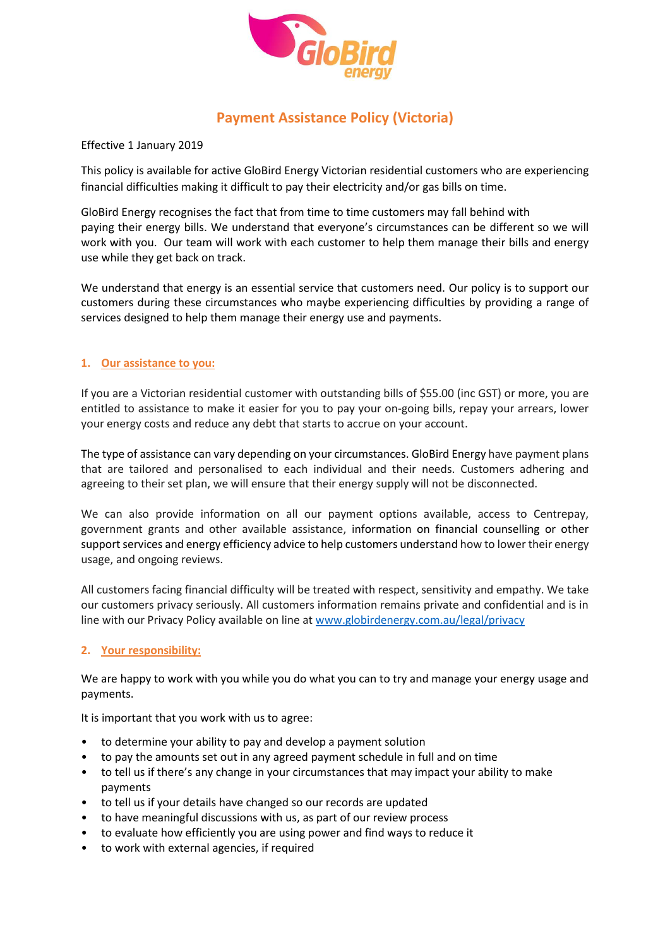

# **Payment Assistance Policy (Victoria)**

Effective 1 January 2019

This policy is available for active GloBird Energy Victorian residential customers who are experiencing financial difficulties making it difficult to pay their electricity and/or gas bills on time.

GloBird Energy recognises the fact that from time to time customers may fall behind with paying their energy bills. We understand that everyone's circumstances can be different so we will work with you. Our team will work with each customer to help them manage their bills and energy use while they get back on track.

We understand that energy is an essential service that customers need. Our policy is to support our customers during these circumstances who maybe experiencing difficulties by providing a range of services designed to help them manage their energy use and payments.

## **1. Our assistance to you:**

If you are a Victorian residential customer with outstanding bills of \$55.00 (inc GST) or more, you are entitled to assistance to make it easier for you to pay your on-going bills, repay your arrears, lower your energy costs and reduce any debt that starts to accrue on your account.

The type of assistance can vary depending on your circumstances. GloBird Energy have payment plans that are tailored and personalised to each individual and their needs. Customers adhering and agreeing to their set plan, we will ensure that their energy supply will not be disconnected.

We can also provide information on all our payment options available, access to Centrepay, government grants and other available assistance, information on financial counselling or other support services and energy efficiency advice to help customers understand how to lower their energy usage, and ongoing reviews.

All customers facing financial difficulty will be treated with respect, sensitivity and empathy. We take our customers privacy seriously. All customers information remains private and confidential and is in line with our Privacy Policy available on line at [www.globirdenergy.com.au/legal/privacy](http://www.globirdenergy.com.au/legal/privacy)

## **2. Your responsibility:**

We are happy to work with you while you do what you can to try and manage your energy usage and payments.

It is important that you work with us to agree:

- to determine your ability to pay and develop a payment solution
- to pay the amounts set out in any agreed payment schedule in full and on time
- to tell us if there's any change in your circumstances that may impact your ability to make payments
- to tell us if your details have changed so our records are updated
- to have meaningful discussions with us, as part of our review process
- to evaluate how efficiently you are using power and find ways to reduce it
- to work with external agencies, if required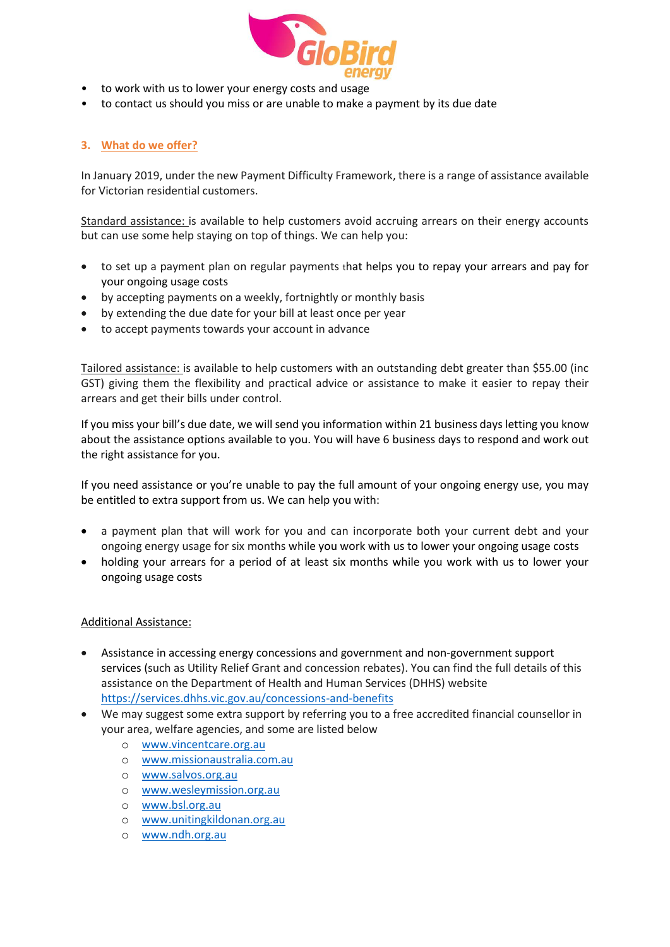

- to work with us to lower your energy costs and usage
- to contact us should you miss or are unable to make a payment by its due date

### **3. What do we offer?**

In January 2019, under the new Payment Difficulty Framework, there is a range of assistance available for Victorian residential customers.

Standard assistance: is available to help customers avoid accruing arrears on their energy accounts but can use some help staying on top of things. We can help you:

- to set up a payment plan on regular payments that helps you to repay your arrears and pay for your ongoing usage costs
- by accepting payments on a weekly, fortnightly or monthly basis
- by extending the due date for your bill at least once per year
- to accept payments towards your account in advance

Tailored assistance: is available to help customers with an outstanding debt greater than \$55.00 (inc GST) giving them the flexibility and practical advice or assistance to make it easier to repay their arrears and get their bills under control.

If you miss your bill's due date, we will send you information within 21 business days letting you know about the assistance options available to you. You will have 6 business days to respond and work out the right assistance for you.

If you need assistance or you're unable to pay the full amount of your ongoing energy use, you may be entitled to extra support from us. We can help you with:

- a payment plan that will work for you and can incorporate both your current debt and your ongoing energy usage for six months while you work with us to lower your ongoing usage costs
- holding your arrears for a period of at least six months while you work with us to lower your ongoing usage costs

#### Additional Assistance:

- Assistance in accessing energy concessions and government and non-government support services (such as Utility Relief Grant and concession rebates). You can find the full details of this assistance on the Department of Health and Human Services (DHHS) website <https://services.dhhs.vic.gov.au/concessions-and-benefits>
- We may suggest some extra support by referring you to a free accredited financial counsellor in your area, welfare agencies, and some are listed below
	- o [www.vincentcare.org.au](http://www.vincentcare.org.au/)
	- o [www.missionaustralia.com.au](http://www.missionaustralia.com.au/)
	- o [www.salvos.org.au](http://www.salvos.org.au/)
	- o [www.wesleymission.org.au](http://www.wesleymission.org.au/)
	- o [www.bsl.org.au](http://www.bsl.org.au/)
	- o [www.unitingkildonan.org.au](http://www.unitingkildonan.org.au/)
	- o [www.ndh.org.au](http://www.ndh.org.au/)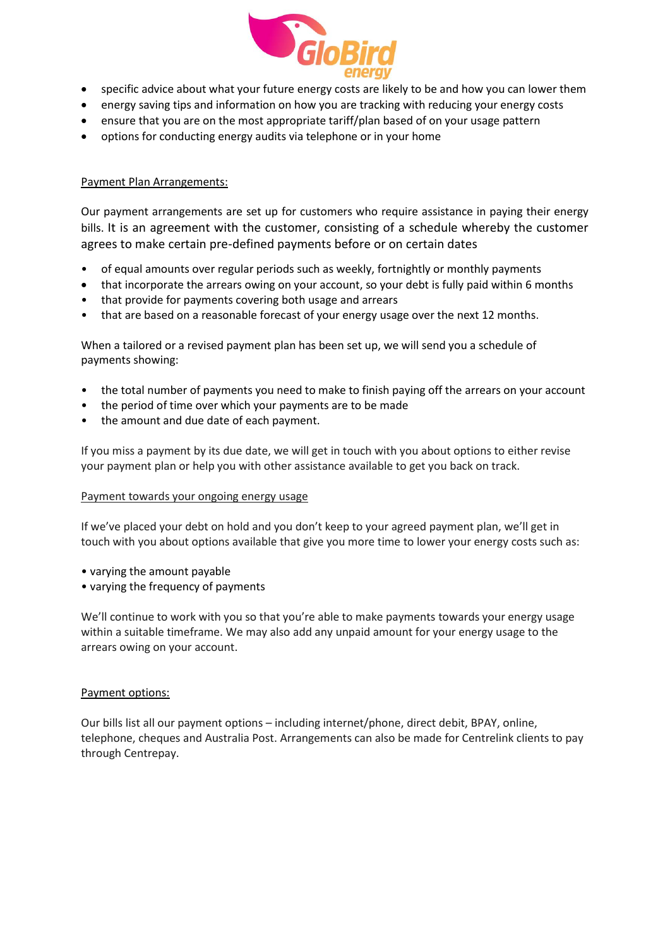

- specific advice about what your future energy costs are likely to be and how you can lower them
- energy saving tips and information on how you are tracking with reducing your energy costs
- ensure that you are on the most appropriate tariff/plan based of on your usage pattern
- options for conducting energy audits via telephone or in your home

## Payment Plan Arrangements:

Our payment arrangements are set up for customers who require assistance in paying their energy bills. It is an agreement with the customer, consisting of a schedule whereby the customer agrees to make certain pre-defined payments before or on certain dates

- of equal amounts over regular periods such as weekly, fortnightly or monthly payments
- that incorporate the arrears owing on your account, so your debt is fully paid within 6 months
- that provide for payments covering both usage and arrears
- that are based on a reasonable forecast of your energy usage over the next 12 months.

When a tailored or a revised payment plan has been set up, we will send you a schedule of payments showing:

- the total number of payments you need to make to finish paying off the arrears on your account
- the period of time over which your payments are to be made
- the amount and due date of each payment.

If you miss a payment by its due date, we will get in touch with you about options to either revise your payment plan or help you with other assistance available to get you back on track.

## Payment towards your ongoing energy usage

If we've placed your debt on hold and you don't keep to your agreed payment plan, we'll get in touch with you about options available that give you more time to lower your energy costs such as:

- varying the amount payable
- varying the frequency of payments

We'll continue to work with you so that you're able to make payments towards your energy usage within a suitable timeframe. We may also add any unpaid amount for your energy usage to the arrears owing on your account.

#### Payment options:

Our bills list all our payment options – including internet/phone, direct debit, BPAY, online, telephone, cheques and Australia Post. Arrangements can also be made for Centrelink clients to pay through Centrepay.